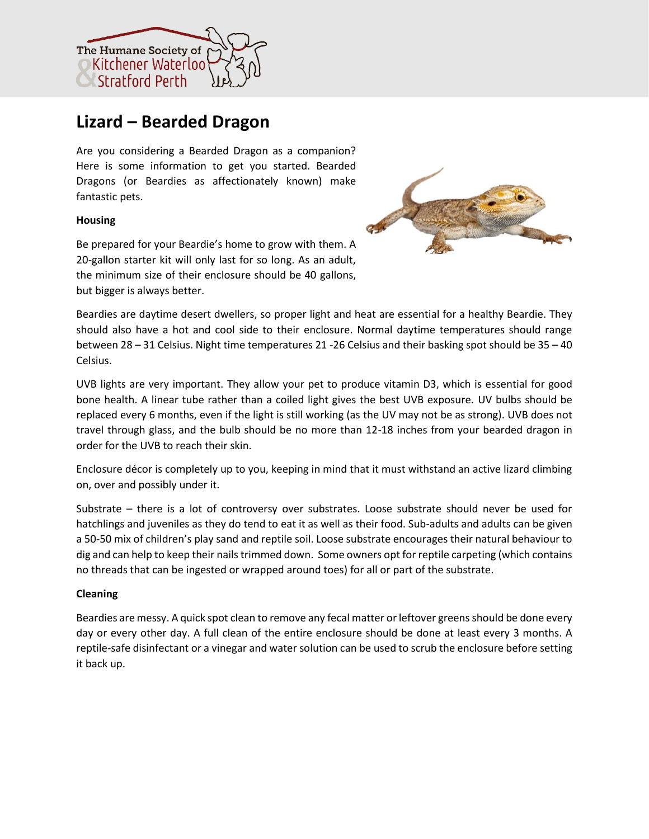

# **Lizard – Bearded Dragon**

Are you considering a Bearded Dragon as a companion? Here is some information to get you started. Bearded Dragons (or Beardies as affectionately known) make fantastic pets.

#### **Housing**

Be prepared for your Beardie's home to grow with them. A 20-gallon starter kit will only last for so long. As an adult, the minimum size of their enclosure should be 40 gallons, but bigger is always better.



Beardies are daytime desert dwellers, so proper light and heat are essential for a healthy Beardie. They should also have a hot and cool side to their enclosure. Normal daytime temperatures should range between 28 – 31 Celsius. Night time temperatures 21 -26 Celsius and their basking spot should be 35 – 40 Celsius.

UVB lights are very important. They allow your pet to produce vitamin D3, which is essential for good bone health. A linear tube rather than a coiled light gives the best UVB exposure. UV bulbs should be replaced every 6 months, even if the light is still working (as the UV may not be as strong). UVB does not travel through glass, and the bulb should be no more than 12-18 inches from your bearded dragon in order for the UVB to reach their skin.

Enclosure décor is completely up to you, keeping in mind that it must withstand an active lizard climbing on, over and possibly under it.

Substrate – there is a lot of controversy over substrates. Loose substrate should never be used for hatchlings and juveniles as they do tend to eat it as well as their food. Sub-adults and adults can be given a 50-50 mix of children's play sand and reptile soil. Loose substrate encourages their natural behaviour to dig and can help to keep their nails trimmed down. Some owners opt for reptile carpeting (which contains no threads that can be ingested or wrapped around toes) for all or part of the substrate.

## **Cleaning**

Beardies are messy. A quick spot clean to remove any fecal matter or leftover greens should be done every day or every other day. A full clean of the entire enclosure should be done at least every 3 months. A reptile-safe disinfectant or a vinegar and water solution can be used to scrub the enclosure before setting it back up.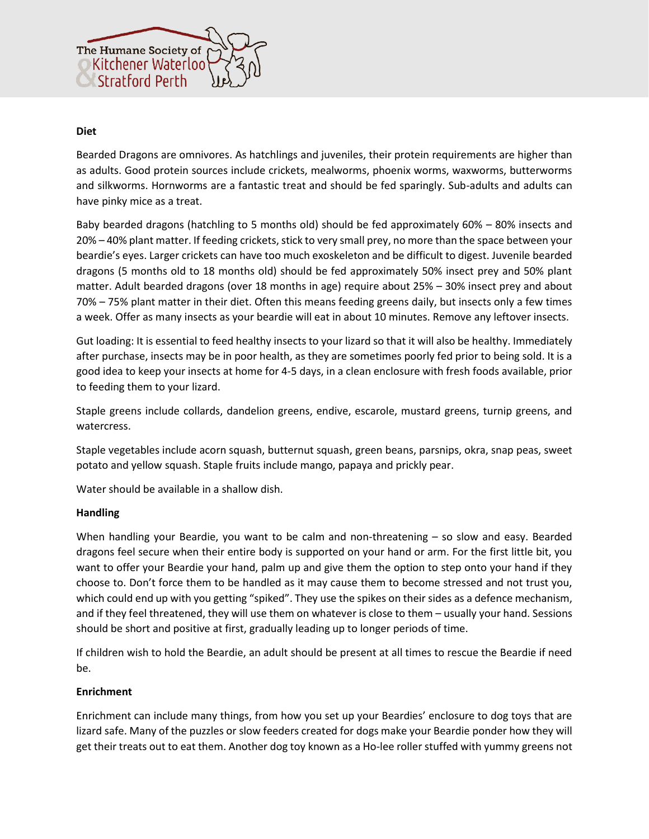

#### **Diet**

Bearded Dragons are omnivores. As hatchlings and juveniles, their protein requirements are higher than as adults. Good protein sources include crickets, mealworms, phoenix worms, waxworms, butterworms and silkworms. Hornworms are a fantastic treat and should be fed sparingly. Sub-adults and adults can have pinky mice as a treat.

Baby bearded dragons (hatchling to 5 months old) should be fed approximately 60% – 80% insects and 20% – 40% plant matter. If feeding crickets, stick to very small prey, no more than the space between your beardie's eyes. Larger crickets can have too much exoskeleton and be difficult to digest. Juvenile bearded dragons (5 months old to 18 months old) should be fed approximately 50% insect prey and 50% plant matter. Adult bearded dragons (over 18 months in age) require about 25% – 30% insect prey and about 70% – 75% plant matter in their diet. Often this means feeding greens daily, but insects only a few times a week. Offer as many insects as your beardie will eat in about 10 minutes. Remove any leftover insects.

Gut loading: It is essential to feed healthy insects to your lizard so that it will also be healthy. Immediately after purchase, insects may be in poor health, as they are sometimes poorly fed prior to being sold. It is a good idea to keep your insects at home for 4-5 days, in a clean enclosure with fresh foods available, prior to feeding them to your lizard.

Staple greens include collards, dandelion greens, endive, escarole, mustard greens, turnip greens, and watercress.

Staple vegetables include acorn squash, butternut squash, green beans, parsnips, okra, snap peas, sweet potato and yellow squash. Staple fruits include mango, papaya and prickly pear.

Water should be available in a shallow dish.

#### **Handling**

When handling your Beardie, you want to be calm and non-threatening – so slow and easy. Bearded dragons feel secure when their entire body is supported on your hand or arm. For the first little bit, you want to offer your Beardie your hand, palm up and give them the option to step onto your hand if they choose to. Don't force them to be handled as it may cause them to become stressed and not trust you, which could end up with you getting "spiked". They use the spikes on their sides as a defence mechanism, and if they feel threatened, they will use them on whatever is close to them – usually your hand. Sessions should be short and positive at first, gradually leading up to longer periods of time.

If children wish to hold the Beardie, an adult should be present at all times to rescue the Beardie if need be.

#### **Enrichment**

Enrichment can include many things, from how you set up your Beardies' enclosure to dog toys that are lizard safe. Many of the puzzles or slow feeders created for dogs make your Beardie ponder how they will get their treats out to eat them. Another dog toy known as a Ho-lee roller stuffed with yummy greens not